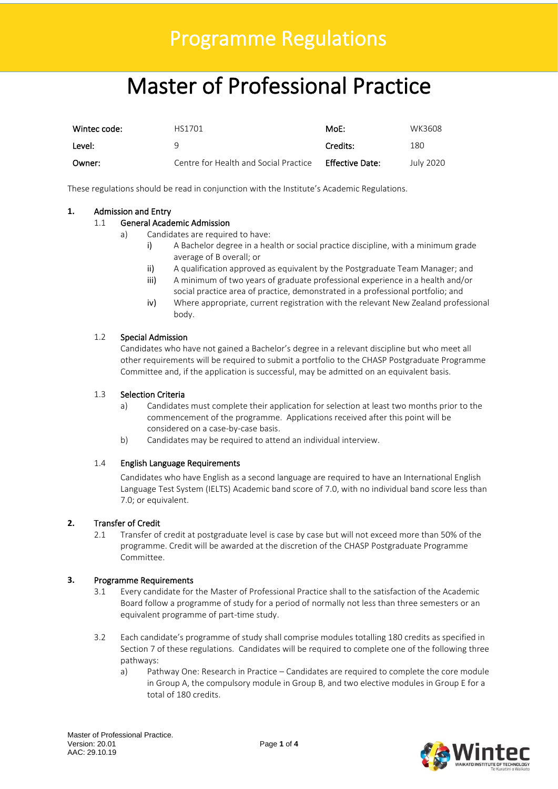### Programme Regulations

## Master of Professional Practice

| Wintec code: | HS1701                                | MoE:            | WK3608    |
|--------------|---------------------------------------|-----------------|-----------|
| Level:       |                                       | Credits:        | 180       |
| Owner:       | Centre for Health and Social Practice | Effective Date: | July 2020 |

These regulations should be read in conjunction with the Institute's Academic Regulations.

#### **1.** Admission and Entry

#### 1.1 General Academic Admission

- a) Candidates are required to have:
	- i) A Bachelor degree in a health or social practice discipline, with a minimum grade average of B overall; or
	- ii) A qualification approved as equivalent by the Postgraduate Team Manager; and
	- iii) A minimum of two years of graduate professional experience in a health and/or social practice area of practice, demonstrated in a professional portfolio; and
	- iv) Where appropriate, current registration with the relevant New Zealand professional body.

#### 1.2 Special Admission

Candidates who have not gained a Bachelor's degree in a relevant discipline but who meet all other requirements will be required to submit a portfolio to the CHASP Postgraduate Programme Committee and, if the application is successful, may be admitted on an equivalent basis.

#### 1.3 Selection Criteria

- a) Candidates must complete their application for selection at least two months prior to the commencement of the programme. Applications received after this point will be considered on a case-by-case basis.
- b) Candidates may be required to attend an individual interview.

#### 1.4 English Language Requirements

Candidates who have English as a second language are required to have an International English Language Test System (IELTS) Academic band score of 7.0, with no individual band score less than 7.0; or equivalent.

#### **2.** Transfer of Credit

2.1 Transfer of credit at postgraduate level is case by case but will not exceed more than 50% of the programme. Credit will be awarded at the discretion of the CHASP Postgraduate Programme Committee.

#### **3.** Programme Requirements

- 3.1 Every candidate for the Master of Professional Practice shall to the satisfaction of the Academic Board follow a programme of study for a period of normally not less than three semesters or an equivalent programme of part-time study.
- 3.2 Each candidate's programme of study shall comprise modules totalling 180 credits as specified in Section 7 of these regulations. Candidates will be required to complete one of the following three pathways:
	- a) Pathway One: Research in Practice Candidates are required to complete the core module in Group A, the compulsory module in Group B, and two elective modules in Group E for a total of 180 credits.

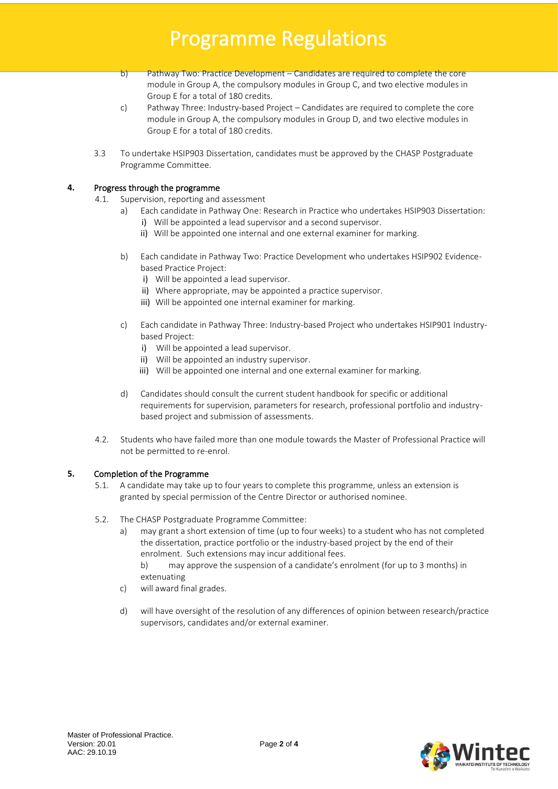### Programme Regulations

- b) Pathway Two: Practice Development Candidates are required to complete the core module in Group A, the compulsory modules in Group C, and two elective modules in Group E for a total of 180 credits.
- c) Pathway Three: Industry-based Project Candidates are required to complete the core module in Group A, the compulsory modules in Group D, and two elective modules in Group E for a total of 180 credits.
- 3.3 To undertake HSIP903 Dissertation, candidates must be approved by the CHASP Postgraduate Programme Committee.

#### **4.** Progress through the programme

- 4.1. Supervision, reporting and assessment
	- a) Each candidate in Pathway One: Research in Practice who undertakes HSIP903 Dissertation: i) Will be appointed a lead supervisor and a second supervisor.
		- ii) Will be appointed one internal and one external examiner for marking.
	- b) Each candidate in Pathway Two: Practice Development who undertakes HSIP902 Evidencebased Practice Project:
		- i) Will be appointed a lead supervisor.
		- ii) Where appropriate, may be appointed a practice supervisor.
		- iii) Will be appointed one internal examiner for marking.
	- c) Each candidate in Pathway Three: Industry-based Project who undertakes HSIP901 Industrybased Project:
		- i) Will be appointed a lead supervisor.
		- ii) Will be appointed an industry supervisor.
		- iii) Will be appointed one internal and one external examiner for marking.
	- d) Candidates should consult the current student handbook for specific or additional requirements for supervision, parameters for research, professional portfolio and industrybased project and submission of assessments.
- 4.2. Students who have failed more than one module towards the Master of Professional Practice will not be permitted to re-enrol.

#### **5.** Completion of the Programme

- 5.1. A candidate may take up to four years to complete this programme, unless an extension is granted by special permission of the Centre Director or authorised nominee.
- 5.2. The CHASP Postgraduate Programme Committee:
	- a) may grant a short extension of time (up to four weeks) to a student who has not completed the dissertation, practice portfolio or the industry-based project by the end of their enrolment. Such extensions may incur additional fees.
		- b) may approve the suspension of a candidate's enrolment (for up to 3 months) in extenuating
	- c) will award final grades.
	- d) will have oversight of the resolution of any differences of opinion between research/practice supervisors, candidates and/or external examiner.

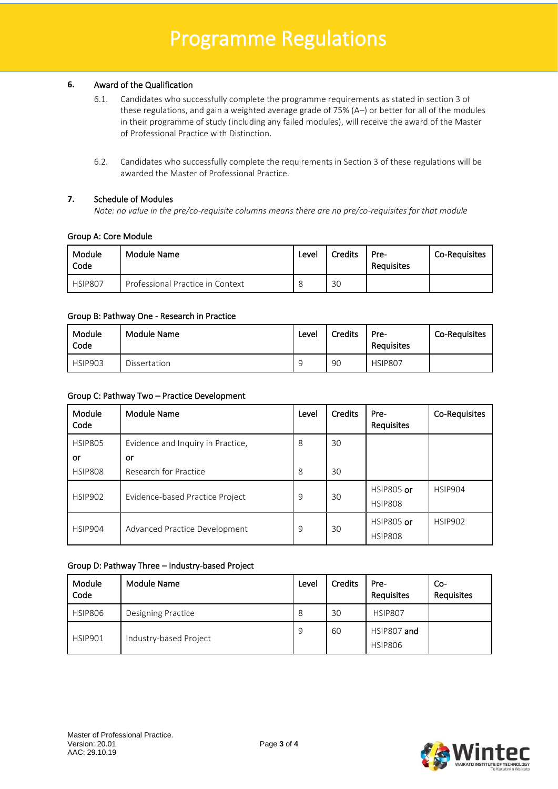#### **6.** Award of the Qualification

j

- 6.1. Candidates who successfully complete the programme requirements as stated in section 3 of these regulations, and gain a weighted average grade of 75% (A–) or better for all of the modules in their programme of study (including any failed modules), will receive the award of the Master of Professional Practice with Distinction.
- 6.2. Candidates who successfully complete the requirements in Section 3 of these regulations will be awarded the Master of Professional Practice.

#### **7.** Schedule of Modules

*Note: no value in the pre/co-requisite columns means there are no pre/co-requisites for that module*

#### Group A: Core Module

| Module<br>Code | Module Name                      | Level | Credits | Pre-<br>Requisites | <b>Co-Requisites</b> |
|----------------|----------------------------------|-------|---------|--------------------|----------------------|
| <b>HSIP807</b> | Professional Practice in Context |       | 30      |                    |                      |

#### Group B: Pathway One - Research in Practice

| Module<br>Code | Module Name  | Level | Credits | Pre-<br>Requisites | <b>Co-Requisites</b> |
|----------------|--------------|-------|---------|--------------------|----------------------|
| <b>HSIP903</b> | Dissertation |       | 90      | <b>HSIP807</b>     |                      |

#### Group C: Pathway Two – Practice Development

| <b>Module</b><br>Code | Module Name                       | Level | <b>Credits</b> | Pre-<br>Requisites           | Co-Requisites  |
|-----------------------|-----------------------------------|-------|----------------|------------------------------|----------------|
| <b>HSIP805</b>        | Evidence and Inquiry in Practice, | 8     | 30             |                              |                |
| or                    | or                                |       |                |                              |                |
| <b>HSIP808</b>        | Research for Practice             | 8     | 30             |                              |                |
| <b>HSIP902</b>        | Evidence-based Practice Project   | 9     | 30             | HSIP805 or<br><b>HSIP808</b> | <b>HSIP904</b> |
| HSIP904               | Advanced Practice Development     | 9     | 30             | HSIP805 or<br><b>HSIP808</b> | <b>HSIP902</b> |

#### Group D: Pathway Three – Industry-based Project

| Module<br>Code | Module Name            | Level | <b>Credits</b> | Pre-<br>Requisites            | $Co-$<br><b>Requisites</b> |
|----------------|------------------------|-------|----------------|-------------------------------|----------------------------|
| <b>HSIP806</b> | Designing Practice     | 8     | 30             | <b>HSIP807</b>                |                            |
| HSIP901        | Industry-based Project | 9     | 60             | HSIP807 and<br><b>HSIP806</b> |                            |